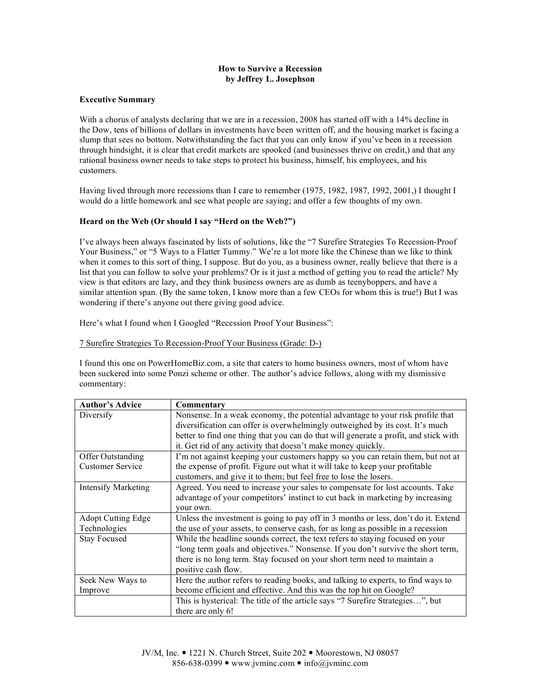# **How to Survive a Recession by Jeffrey L. Josephson**

### **Executive Summary**

With a chorus of analysts declaring that we are in a recession, 2008 has started off with a 14% decline in the Dow, tens of billions of dollars in investments have been written off, and the housing market is facing a slump that sees no bottom. Notwithstanding the fact that you can only know if you've been in a recession through hindsight, it is clear that credit markets are spooked (and businesses thrive on credit,) and that any rational business owner needs to take steps to protect his business, himself, his employees, and his customers.

Having lived through more recessions than I care to remember (1975, 1982, 1987, 1992, 2001,) I thought I would do a little homework and see what people are saying; and offer a few thoughts of my own.

### **Heard on the Web (Or should I say "Herd on the Web?")**

I've always been always fascinated by lists of solutions, like the "7 Surefire Strategies To Recession-Proof Your Business," or "5 Ways to a Flatter Tummy." We're a lot more like the Chinese than we like to think when it comes to this sort of thing, I suppose. But do you, as a business owner, really believe that there is a list that you can follow to solve your problems? Or is it just a method of getting you to read the article? My view is that editors are lazy, and they think business owners are as dumb as teenyboppers, and have a similar attention span. (By the same token, I know more than a few CEOs for whom this is true!) But I was wondering if there's anyone out there giving good advice.

Here's what I found when I Googled "Recession Proof Your Business":

### 7 Surefire Strategies To Recession-Proof Your Business (Grade: D-)

I found this one on PowerHomeBiz.com, a site that caters to home business owners, most of whom have been suckered into some Ponzi scheme or other. The author's advice follows, along with my dismissive commentary:

| <b>Author's Advice</b>     | Commentary                                                                           |
|----------------------------|--------------------------------------------------------------------------------------|
| Diversify                  | Nonsense. In a weak economy, the potential advantage to your risk profile that       |
|                            | diversification can offer is overwhelmingly outweighed by its cost. It's much        |
|                            | better to find one thing that you can do that will generate a profit, and stick with |
|                            | it. Get rid of any activity that doesn't make money quickly.                         |
| <b>Offer Outstanding</b>   | I'm not against keeping your customers happy so you can retain them, but not at      |
| <b>Customer Service</b>    | the expense of profit. Figure out what it will take to keep your profitable          |
|                            | customers, and give it to them; but feel free to lose the losers.                    |
| <b>Intensify Marketing</b> | Agreed. You need to increase your sales to compensate for lost accounts. Take        |
|                            | advantage of your competitors' instinct to cut back in marketing by increasing       |
|                            | your own.                                                                            |
| <b>Adopt Cutting Edge</b>  | Unless the investment is going to pay off in 3 months or less, don't do it. Extend   |
| Technologies               | the use of your assets, to conserve cash, for as long as possible in a recession     |
| <b>Stay Focused</b>        | While the headline sounds correct, the text refers to staying focused on your        |
|                            | "long term goals and objectives." Nonsense. If you don't survive the short term,     |
|                            | there is no long term. Stay focused on your short term need to maintain a            |
|                            | positive cash flow.                                                                  |
| Seek New Ways to           | Here the author refers to reading books, and talking to experts, to find ways to     |
| Improve                    | become efficient and effective. And this was the top hit on Google?                  |
|                            | This is hysterical: The title of the article says "7 Surefire Strategies", but       |
|                            | there are only 6!                                                                    |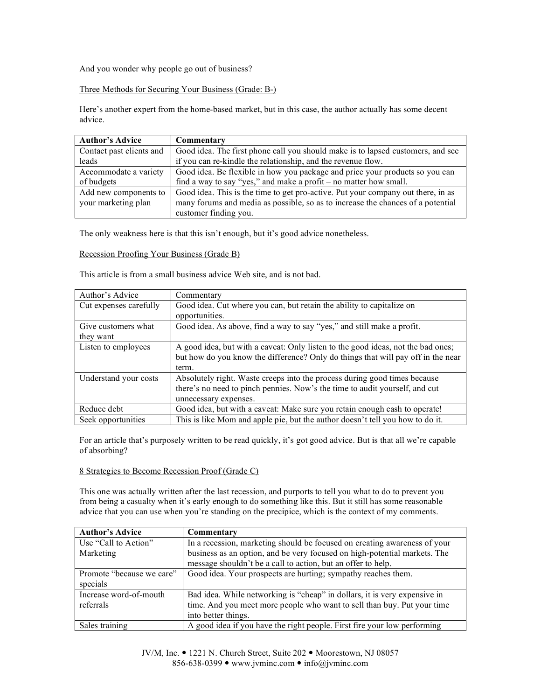And you wonder why people go out of business?

Three Methods for Securing Your Business (Grade: B-)

Here's another expert from the home-based market, but in this case, the author actually has some decent advice.

| <b>Author's Advice</b>   | Commentary                                                                       |
|--------------------------|----------------------------------------------------------------------------------|
| Contact past clients and | Good idea. The first phone call you should make is to lapsed customers, and see  |
| leads                    | if you can re-kindle the relationship, and the revenue flow.                     |
| Accommodate a variety    | Good idea. Be flexible in how you package and price your products so you can     |
| of budgets               | find a way to say "yes," and make a profit $-$ no matter how small.              |
| Add new components to    | Good idea. This is the time to get pro-active. Put your company out there, in as |
| your marketing plan      | many forums and media as possible, so as to increase the chances of a potential  |
|                          | customer finding you.                                                            |

The only weakness here is that this isn't enough, but it's good advice nonetheless.

Recession Proofing Your Business (Grade B)

This article is from a small business advice Web site, and is not bad.

| Author's Advice        | Commentary                                                                              |
|------------------------|-----------------------------------------------------------------------------------------|
| Cut expenses carefully | Good idea. Cut where you can, but retain the ability to capitalize on<br>opportunities. |
|                        |                                                                                         |
| Give customers what    | Good idea. As above, find a way to say "yes," and still make a profit.                  |
| they want              |                                                                                         |
| Listen to employees    | A good idea, but with a caveat: Only listen to the good ideas, not the bad ones;        |
|                        | but how do you know the difference? Only do things that will pay off in the near        |
|                        | term.                                                                                   |
| Understand your costs  | Absolutely right. Waste creeps into the process during good times because               |
|                        | there's no need to pinch pennies. Now's the time to audit yourself, and cut             |
|                        | unnecessary expenses.                                                                   |
| Reduce debt            | Good idea, but with a caveat: Make sure you retain enough cash to operate!              |
| Seek opportunities     | This is like Mom and apple pie, but the author doesn't tell you how to do it.           |

For an article that's purposely written to be read quickly, it's got good advice. But is that all we're capable of absorbing?

# 8 Strategies to Become Recession Proof (Grade C)

This one was actually written after the last recession, and purports to tell you what to do to prevent you from being a casualty when it's early enough to do something like this. But it still has some reasonable advice that you can use when you're standing on the precipice, which is the context of my comments.

| <b>Author's Advice</b>    | Commentary                                                                |
|---------------------------|---------------------------------------------------------------------------|
| Use "Call to Action"      | In a recession, marketing should be focused on creating awareness of your |
| Marketing                 | business as an option, and be very focused on high-potential markets. The |
|                           | message shouldn't be a call to action, but an offer to help.              |
| Promote "because we care" | Good idea. Your prospects are hurting; sympathy reaches them.             |
| specials                  |                                                                           |
| Increase word-of-mouth    | Bad idea. While networking is "cheap" in dollars, it is very expensive in |
| referrals                 | time. And you meet more people who want to sell than buy. Put your time   |
|                           | into better things.                                                       |
| Sales training            | A good idea if you have the right people. First fire your low performing  |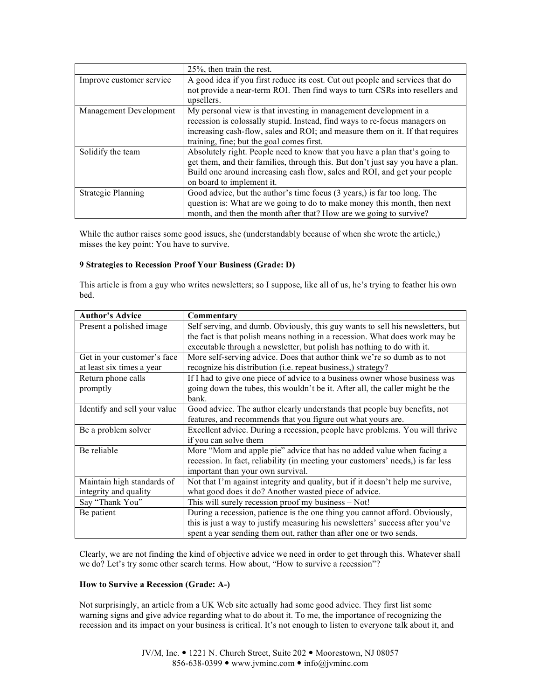|                          | 25%, then train the rest.                                                       |
|--------------------------|---------------------------------------------------------------------------------|
| Improve customer service | A good idea if you first reduce its cost. Cut out people and services that do   |
|                          | not provide a near-term ROI. Then find ways to turn CSRs into resellers and     |
|                          | upsellers.                                                                      |
| Management Development   | My personal view is that investing in management development in a               |
|                          | recession is colossally stupid. Instead, find ways to re-focus managers on      |
|                          | increasing cash-flow, sales and ROI; and measure them on it. If that requires   |
|                          | training, fine; but the goal comes first.                                       |
| Solidify the team        | Absolutely right. People need to know that you have a plan that's going to      |
|                          | get them, and their families, through this. But don't just say you have a plan. |
|                          | Build one around increasing cash flow, sales and ROI, and get your people       |
|                          | on board to implement it.                                                       |
| Strategic Planning       | Good advice, but the author's time focus (3 years,) is far too long. The        |
|                          | question is: What are we going to do to make money this month, then next        |
|                          | month, and then the month after that? How are we going to survive?              |

While the author raises some good issues, she (understandably because of when she wrote the article,) misses the key point: You have to survive.

# **9 Strategies to Recession Proof Your Business (Grade: D)**

This article is from a guy who writes newsletters; so I suppose, like all of us, he's trying to feather his own bed.

| <b>Author's Advice</b>       | Commentary                                                                      |  |  |
|------------------------------|---------------------------------------------------------------------------------|--|--|
| Present a polished image     | Self serving, and dumb. Obviously, this guy wants to sell his newsletters, but  |  |  |
|                              | the fact is that polish means nothing in a recession. What does work may be     |  |  |
|                              | executable through a newsletter, but polish has nothing to do with it.          |  |  |
| Get in your customer's face  | More self-serving advice. Does that author think we're so dumb as to not        |  |  |
| at least six times a year    | recognize his distribution (i.e. repeat business,) strategy?                    |  |  |
| Return phone calls           | If I had to give one piece of advice to a business owner whose business was     |  |  |
| promptly                     | going down the tubes, this wouldn't be it. After all, the caller might be the   |  |  |
|                              | bank.                                                                           |  |  |
| Identify and sell your value | Good advice. The author clearly understands that people buy benefits, not       |  |  |
|                              | features, and recommends that you figure out what yours are.                    |  |  |
| Be a problem solver          | Excellent advice. During a recession, people have problems. You will thrive     |  |  |
|                              | if you can solve them                                                           |  |  |
| Be reliable                  | More "Mom and apple pie" advice that has no added value when facing a           |  |  |
|                              | recession. In fact, reliability (in meeting your customers' needs,) is far less |  |  |
|                              | important than your own survival.                                               |  |  |
| Maintain high standards of   | Not that I'm against integrity and quality, but if it doesn't help me survive,  |  |  |
| integrity and quality        | what good does it do? Another wasted piece of advice.                           |  |  |
| Say "Thank You"              | This will surely recession proof my business – Not!                             |  |  |
| Be patient                   | During a recession, patience is the one thing you cannot afford. Obviously,     |  |  |
|                              | this is just a way to justify measuring his newsletters' success after you've   |  |  |
|                              | spent a year sending them out, rather than after one or two sends.              |  |  |

Clearly, we are not finding the kind of objective advice we need in order to get through this. Whatever shall we do? Let's try some other search terms. How about, "How to survive a recession"?

# **How to Survive a Recession (Grade: A-)**

Not surprisingly, an article from a UK Web site actually had some good advice. They first list some warning signs and give advice regarding what to do about it. To me, the importance of recognizing the recession and its impact on your business is critical. It's not enough to listen to everyone talk about it, and